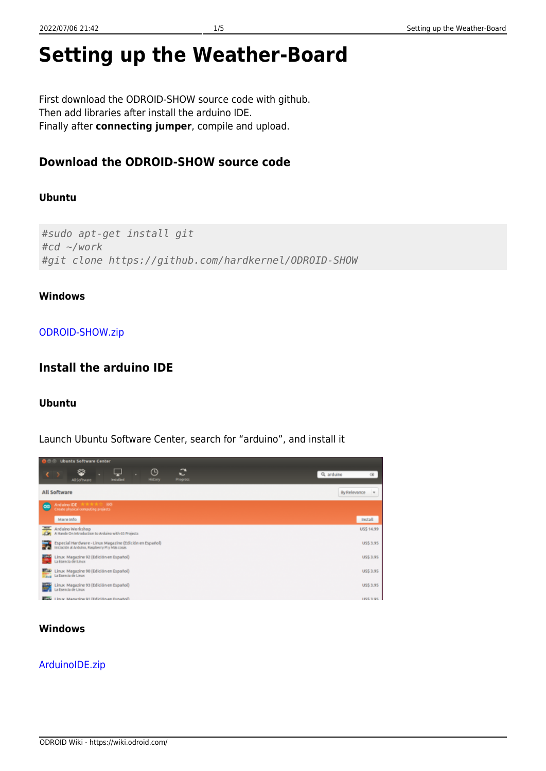# **Setting up the Weather-Board**

First download the ODROID-SHOW source code with github. Then add libraries after install the arduino IDE. Finally after **connecting jumper**, compile and upload.

# **Download the ODROID-SHOW source code**

#### **Ubuntu**

*#sudo apt-get install git #cd ~/work #git clone https://github.com/hardkernel/ODROID-SHOW*

#### **Windows**

#### [ODROID-SHOW.zip](https://wiki.odroid.com/lib/exe/fetch.php?tok=e99840&media=https%3A%2F%2Fgithub.com%2Fhardkernel%2FODROID-SHOW%2Farchive%2Fmaster.zip)

## **Install the arduino IDE**

#### **Ubuntu**

Launch Ubuntu Software Center, search for "arduino", and install it

| <b>I C C Ubuntu Software Center</b>                                                                               |                        |
|-------------------------------------------------------------------------------------------------------------------|------------------------|
| ÷<br>O<br>❤<br>⊾<br>Installed<br>History<br>All Software<br>Progress.                                             | Q, arduino<br>$\times$ |
| All Software                                                                                                      | By Relevance<br>$\sim$ |
| <b>1000 St W W</b><br>Arduino IDE<br>le:<br>Create physical computing projects                                    |                        |
| More info                                                                                                         | Install                |
| Arduino Workshop<br>A Hands On Introduction to Arduino with 65 Projects                                           | US\$ 14.99             |
| Especial Hardware - Linux Magazine (Edición en Español)<br>Fri<br>Iniciación al Arduino, Raspberry Pl y Más cosas | <b>US\$ 3.95</b>       |
| Linux Magazine 92 (Edición en Español)<br>La Esencia del Linux                                                    | US\$ 3.95              |
| Thus Magazine 90 (Edición en Español)<br>Figure La Esencia de Linux                                               | US\$ 3.95              |
| Linux Magazine 93 (Edición en Español)<br>La Esencia de Linux                                                     | <b>US\$3.95</b>        |
| <b>BOW</b> Listy Masazine 91 (Edición en Español)                                                                 | <b>IRC195</b>          |

#### **Windows**

#### [ArduinoIDE.zip](https://wiki.odroid.com/lib/exe/fetch.php?tok=87c5da&media=http%3A%2F%2Farduino.googlecode.com%2Ffiles%2Farduino-1.0.5-r2-windows.zip)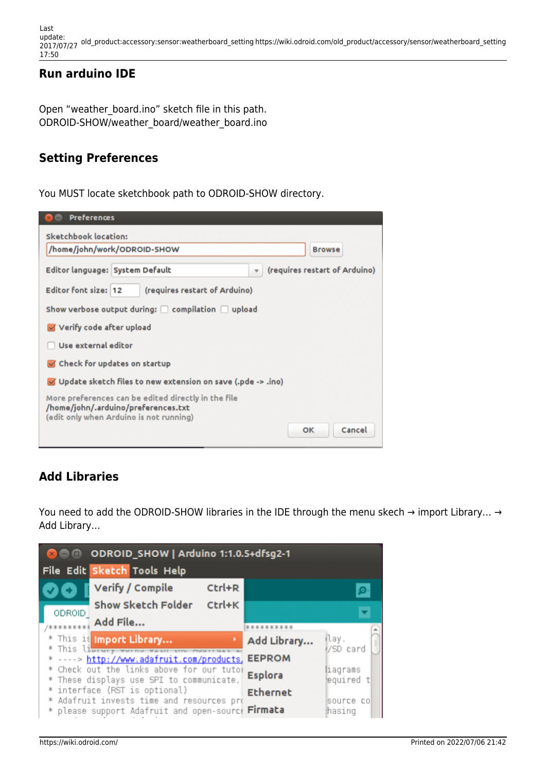Last update: 2017/07/27 old\_product:accessory:sensor:weatherboard\_setting https://wiki.odroid.com/old\_product/accessory/sensor/weatherboard\_setting 17:50

## **Run arduino IDE**

Open "weather board.ino" sketch file in this path. ODROID-SHOW/weather\_board/weather\_board.ino

## **Setting Preferences**

You MUST locate sketchbook path to ODROID-SHOW directory.

| <b>Preferences</b>                                                                                                                    |
|---------------------------------------------------------------------------------------------------------------------------------------|
| Sketchbook location:                                                                                                                  |
| /home/john/work/ODROID-SHOW<br><b>Browse</b>                                                                                          |
| (requires restart of Arduino)<br>Editor language: System Default<br>÷                                                                 |
| Editor font size: 12<br>(requires restart of Arduino)                                                                                 |
| Show verbose output during: $\Box$ compilation $\Box$ upload                                                                          |
| Verify code after upload                                                                                                              |
| Use external editor                                                                                                                   |
| Check for updates on startup                                                                                                          |
| Update sketch files to new extension on save (.pde -> .ino)                                                                           |
| More preferences can be edited directly in the file<br>/home/john/.arduino/preferences.txt<br>(edit only when Arduino is not running) |
| Cancel<br>oк                                                                                                                          |

# **Add Libraries**

You need to add the ODROID-SHOW libraries in the IDE through the menu skech → import Library… → Add Library…

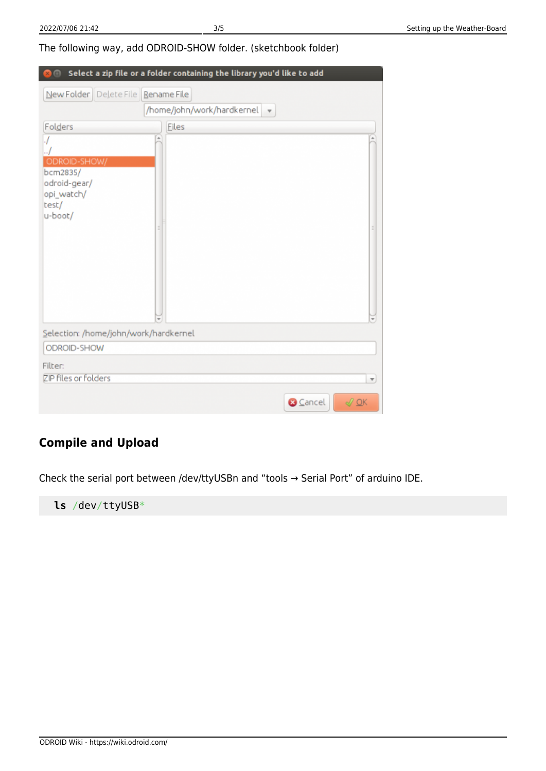The following way, add ODROID-SHOW folder. (sketchbook folder)

| $\blacksquare$                                                             | Select a zip file or a folder containing the library you'd like to add |
|----------------------------------------------------------------------------|------------------------------------------------------------------------|
| New Folder   Delete File                                                   | <b>Rename File</b>                                                     |
|                                                                            | /home/john/work/hardkernel<br>$\overline{\mathbf v}$                   |
| Folders                                                                    | Eiles                                                                  |
| ODROID-SHOW/<br>bcm2835/<br>odroid-gear/<br>opi_watch/<br>test/<br>u-boot/ | ÷                                                                      |
| Selection: /home/john/work/hardkernel                                      |                                                                        |
| ODROID-SHOW                                                                |                                                                        |
| Filter:<br>ZIP files or folders                                            | $\overline{\mathbf{v}}$                                                |
|                                                                            | <b>3</b> Cancel<br>$\sqrt{QK}$                                         |

# **Compile and Upload**

Check the serial port between /dev/ttyUSBn and "tools → Serial Port" of arduino IDE.

**ls** /dev/ttyUSB\*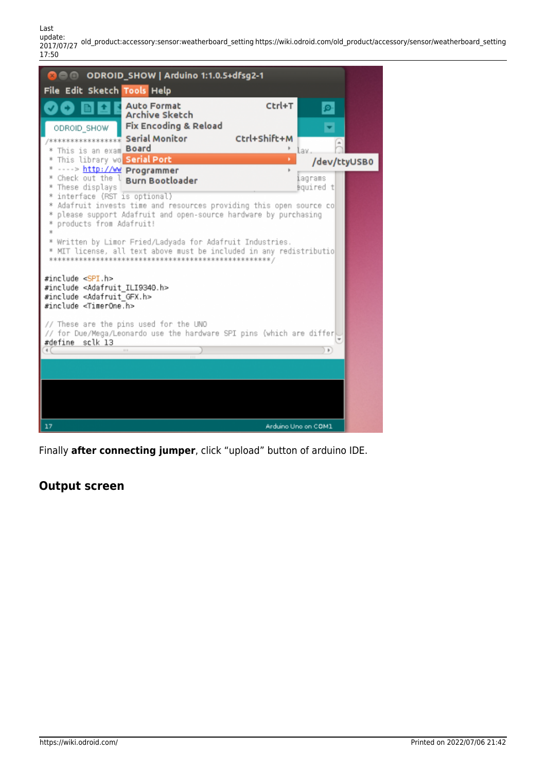Last update: 2017/07/27 old\_product:accessory:sensor:weatherboard\_setting https://wiki.odroid.com/old\_product/accessory/sensor/weatherboard\_setting 17:50



Finally **after connecting jumper**, click "upload" button of arduino IDE.

## **Output screen**